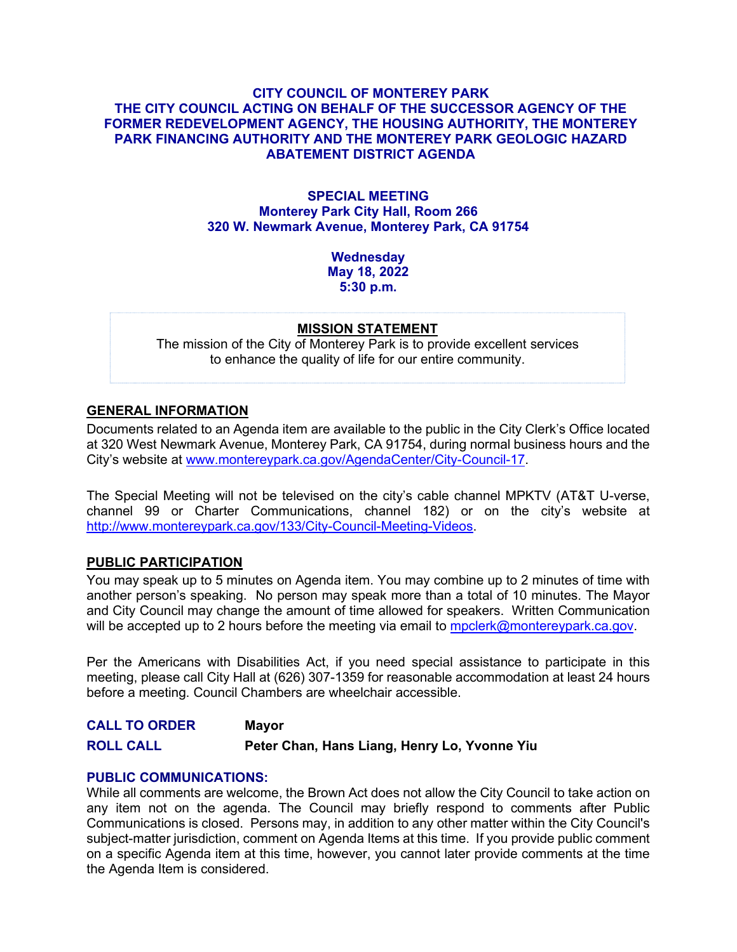## **CITY COUNCIL OF MONTEREY PARK THE CITY COUNCIL ACTING ON BEHALF OF THE SUCCESSOR AGENCY OF THE FORMER REDEVELOPMENT AGENCY, THE HOUSING AUTHORITY, THE MONTEREY PARK FINANCING AUTHORITY AND THE MONTEREY PARK GEOLOGIC HAZARD ABATEMENT DISTRICT AGENDA**

## **SPECIAL MEETING Monterey Park City Hall, Room 266 320 W. Newmark Avenue, Monterey Park, CA 91754**

**Wednesday May 18, 2022 5:30 p.m.**

#### **MISSION STATEMENT**

The mission of the City of Monterey Park is to provide excellent services to enhance the quality of life for our entire community.

# **GENERAL INFORMATION**

Documents related to an Agenda item are available to the public in the City Clerk's Office located at 320 West Newmark Avenue, Monterey Park, CA 91754, during normal business hours and the City's website at [www.montereypark.ca.gov/AgendaCenter/City-Council-17.](http://www.montereypark.ca.gov/AgendaCenter/City-Council-17)

The Special Meeting will not be televised on the city's cable channel MPKTV (AT&T U-verse, channel 99 or Charter Communications, channel 182) or on the city's website at [http://www.montereypark.ca.gov/133/City-Council-Meeting-Videos.](http://www.montereypark.ca.gov/133/City-Council-Meeting-Videos)

#### **PUBLIC PARTICIPATION**

You may speak up to 5 minutes on Agenda item. You may combine up to 2 minutes of time with another person's speaking. No person may speak more than a total of 10 minutes. The Mayor and City Council may change the amount of time allowed for speakers. Written Communication will be accepted up to 2 hours before the meeting via email to [mpclerk@montereypark.ca.gov.](mailto:mpclerk@montereypark.ca.gov)

Per the Americans with Disabilities Act, if you need special assistance to participate in this meeting, please call City Hall at (626) 307-1359 for reasonable accommodation at least 24 hours before a meeting. Council Chambers are wheelchair accessible.

**CALL TO ORDER Mayor ROLL CALL Peter Chan, Hans Liang, Henry Lo, Yvonne Yiu**

#### **PUBLIC COMMUNICATIONS:**

While all comments are welcome, the Brown Act does not allow the City Council to take action on any item not on the agenda. The Council may briefly respond to comments after Public Communications is closed. Persons may, in addition to any other matter within the City Council's subject-matter jurisdiction, comment on Agenda Items at this time. If you provide public comment on a specific Agenda item at this time, however, you cannot later provide comments at the time the Agenda Item is considered.